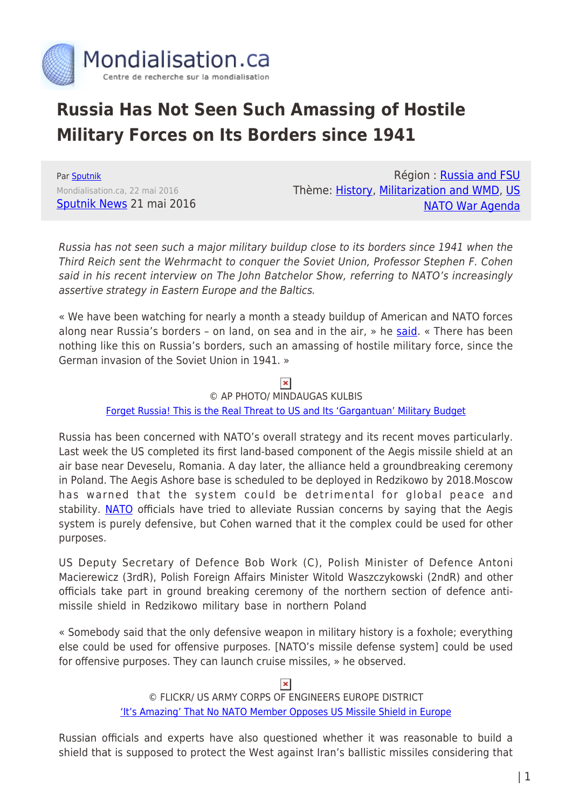

## **Russia Has Not Seen Such Amassing of Hostile Military Forces on Its Borders since 1941**

Par [Sputnik](https://www.mondialisation.ca/author/sputnik) Mondialisation.ca, 22 mai 2016 [Sputnik News](http://sputniknews.com/politics/20160521/1040012274/russia-us-nato-buildup.html) 21 mai 2016

Région : [Russia and FSU](https://www.mondialisation.ca/region/russia-and-fsu) Thème: [History,](https://www.mondialisation.ca/theme/culture-society-history) [Militarization and WMD,](https://www.mondialisation.ca/theme/militarization-and-wmd) [US](https://www.mondialisation.ca/theme/us-nato-war-agenda) [NATO War Agenda](https://www.mondialisation.ca/theme/us-nato-war-agenda)

Russia has not seen such a major military buildup close to its borders since 1941 when the Third Reich sent the Wehrmacht to conquer the Soviet Union, Professor Stephen F. Cohen said in his recent interview on The John Batchelor Show, referring to NATO's increasingly assertive strategy in Eastern Europe and the Baltics.

« We have been watching for nearly a month a steady buildup of American and NATO forces along near Russia's borders – on land, on sea and in the air, » he [said](https://audioboom.com/boos/4580137-nato-escalates-russia-fulminates-stephen-f-cohen-nyu-princeton-eastwestaccord-com). « There has been nothing like this on Russia's borders, such an amassing of hostile military force, since the German invasion of the Soviet Union in 1941. »

 $\pmb{\times}$ 

© AP PHOTO/ MINDAUGAS KULBIS [Forget Russia! This is the Real Threat to US and Its 'Gargantuan' Military Budget](http://sputniknews.com/politics/20160520/1039991323/us-military-spending-russia.html)

Russia has been concerned with NATO's overall strategy and its recent moves particularly. Last week the US completed its first land-based component of the Aegis missile shield at an air base near Deveselu, Romania. A day later, the alliance held a groundbreaking ceremony in Poland. The Aegis Ashore base is scheduled to be deployed in Redzikowo by 2018.Moscow has warned that the system could be detrimental for global peace and stability. [NATO](http://sputniknews.com/tags/organization_NATO/) officials have tried to alleviate Russian concerns by saying that the Aegis system is purely defensive, but Cohen warned that it the complex could be used for other purposes.

US Deputy Secretary of Defence Bob Work (C), Polish Minister of Defence Antoni Macierewicz (3rdR), Polish Foreign Affairs Minister Witold Waszczykowski (2ndR) and other officials take part in ground breaking ceremony of the northern section of defence antimissile shield in Redzikowo military base in northern Poland

« Somebody said that the only defensive weapon in military history is a foxhole; everything else could be used for offensive purposes. [NATO's missile defense system] could be used for offensive purposes. They can launch cruise missiles, » he observed.

 $\pmb{\times}$ 

© FLICKR/ US ARMY CORPS OF ENGINEERS EUROPE DISTRICT ['It's Amazing' That No NATO Member Opposes US Missile Shield in Europe](http://sputniknews.com/politics/20160520/1039944674/us-nato-aegis-ashore.html)

Russian officials and experts have also questioned whether it was reasonable to build a shield that is supposed to protect the West against Iran's ballistic missiles considering that